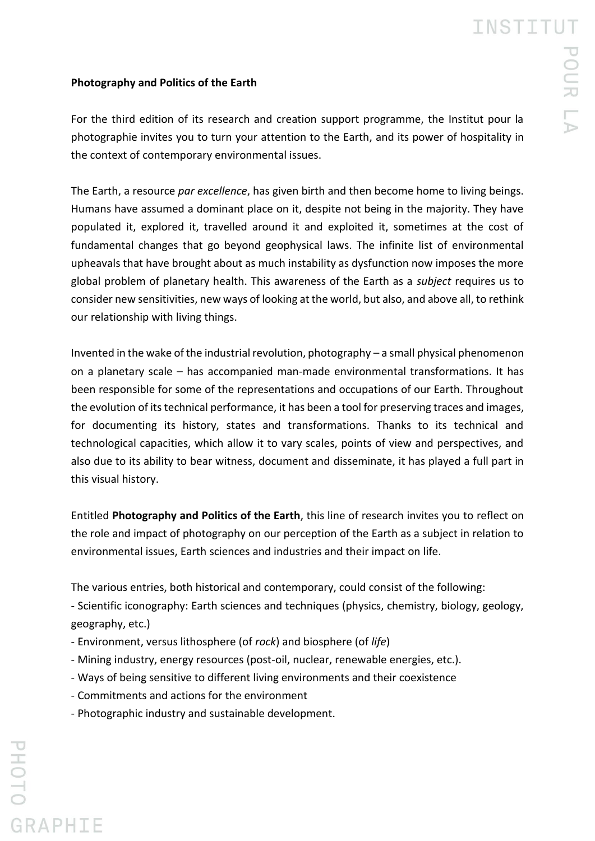## **Photography and Politics of the Earth**

For the third edition of its research and creation support programme, the Institut pour la photographie invites you to turn your attention to the Earth, and its power of hospitality in the context of contemporary environmental issues.

The Earth, a resource *par excellence*, has given birth and then become home to living beings. Humans have assumed a dominant place on it, despite not being in the majority. They have populated it, explored it, travelled around it and exploited it, sometimes at the cost of fundamental changes that go beyond geophysical laws. The infinite list of environmental upheavals that have brought about as much instability as dysfunction now imposes the more global problem of planetary health. This awareness of the Earth as a *subject* requires us to consider new sensitivities, new ways of looking at the world, but also, and above all, to rethink our relationship with living things.

Invented in the wake of the industrial revolution, photography – a small physical phenomenon on a planetary scale – has accompanied man-made environmental transformations. It has been responsible for some of the representations and occupations of our Earth. Throughout the evolution of its technical performance, it has been a tool for preserving traces and images, for documenting its history, states and transformations. Thanks to its technical and technological capacities, which allow it to vary scales, points of view and perspectives, and also due to its ability to bear witness, document and disseminate, it has played a full part in this visual history.

Entitled **Photography and Politics of the Earth**, this line of research invites you to reflect on the role and impact of photography on our perception of the Earth as a subject in relation to environmental issues, Earth sciences and industries and their impact on life.

The various entries, both historical and contemporary, could consist of the following:

- Scientific iconography: Earth sciences and techniques (physics, chemistry, biology, geology, geography, etc.)

- Environment, versus lithosphere (of *rock*) and biosphere (of *life*)
- Mining industry, energy resources (post-oil, nuclear, renewable energies, etc.).
- Ways of being sensitive to different living environments and their coexistence
- Commitments and actions for the environment
- Photographic industry and sustainable development.

**GRAPHIE**